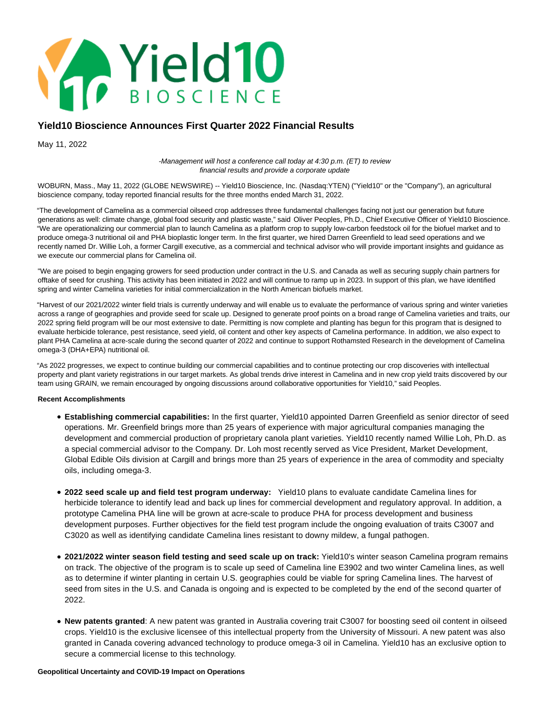

# **Yield10 Bioscience Announces First Quarter 2022 Financial Results**

May 11, 2022

-Management will host a conference call today at 4:30 p.m. (ET) to review financial results and provide a corporate update

WOBURN, Mass., May 11, 2022 (GLOBE NEWSWIRE) -- Yield10 Bioscience, Inc. (Nasdaq:YTEN) ("Yield10" or the "Company"), an agricultural bioscience company, today reported financial results for the three months ended March 31, 2022.

"The development of Camelina as a commercial oilseed crop addresses three fundamental challenges facing not just our generation but future generations as well: climate change, global food security and plastic waste," said Oliver Peoples, Ph.D., Chief Executive Officer of Yield10 Bioscience. "We are operationalizing our commercial plan to launch Camelina as a platform crop to supply low-carbon feedstock oil for the biofuel market and to produce omega-3 nutritional oil and PHA bioplastic longer term. In the first quarter, we hired Darren Greenfield to lead seed operations and we recently named Dr. Willie Loh, a former Cargill executive, as a commercial and technical advisor who will provide important insights and guidance as we execute our commercial plans for Camelina oil.

"We are poised to begin engaging growers for seed production under contract in the U.S. and Canada as well as securing supply chain partners for offtake of seed for crushing. This activity has been initiated in 2022 and will continue to ramp up in 2023. In support of this plan, we have identified spring and winter Camelina varieties for initial commercialization in the North American biofuels market.

"Harvest of our 2021/2022 winter field trials is currently underway and will enable us to evaluate the performance of various spring and winter varieties across a range of geographies and provide seed for scale up. Designed to generate proof points on a broad range of Camelina varieties and traits, our 2022 spring field program will be our most extensive to date. Permitting is now complete and planting has begun for this program that is designed to evaluate herbicide tolerance, pest resistance, seed yield, oil content and other key aspects of Camelina performance. In addition, we also expect to plant PHA Camelina at acre-scale during the second quarter of 2022 and continue to support Rothamsted Research in the development of Camelina omega-3 (DHA+EPA) nutritional oil.

"As 2022 progresses, we expect to continue building our commercial capabilities and to continue protecting our crop discoveries with intellectual property and plant variety registrations in our target markets. As global trends drive interest in Camelina and in new crop yield traits discovered by our team using GRAIN, we remain encouraged by ongoing discussions around collaborative opportunities for Yield10," said Peoples.

# **Recent Accomplishments**

- **Establishing commercial capabilities:** In the first quarter, Yield10 appointed Darren Greenfield as senior director of seed operations. Mr. Greenfield brings more than 25 years of experience with major agricultural companies managing the development and commercial production of proprietary canola plant varieties. Yield10 recently named Willie Loh, Ph.D. as a special commercial advisor to the Company. Dr. Loh most recently served as Vice President, Market Development, Global Edible Oils division at Cargill and brings more than 25 years of experience in the area of commodity and specialty oils, including omega-3.
- **2022 seed scale up and field test program underway:** Yield10 plans to evaluate candidate Camelina lines for herbicide tolerance to identify lead and back up lines for commercial development and regulatory approval. In addition, a prototype Camelina PHA line will be grown at acre-scale to produce PHA for process development and business development purposes. Further objectives for the field test program include the ongoing evaluation of traits C3007 and C3020 as well as identifying candidate Camelina lines resistant to downy mildew, a fungal pathogen.
- **2021/2022 winter season field testing and seed scale up on track:** Yield10's winter season Camelina program remains on track. The objective of the program is to scale up seed of Camelina line E3902 and two winter Camelina lines, as well as to determine if winter planting in certain U.S. geographies could be viable for spring Camelina lines. The harvest of seed from sites in the U.S. and Canada is ongoing and is expected to be completed by the end of the second quarter of 2022.
- **New patents granted**: A new patent was granted in Australia covering trait C3007 for boosting seed oil content in oilseed crops. Yield10 is the exclusive licensee of this intellectual property from the University of Missouri. A new patent was also granted in Canada covering advanced technology to produce omega-3 oil in Camelina. Yield10 has an exclusive option to secure a commercial license to this technology.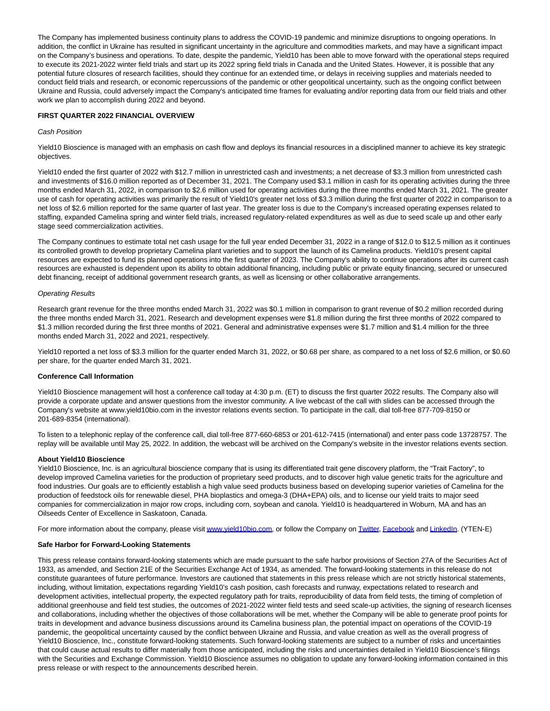The Company has implemented business continuity plans to address the COVID-19 pandemic and minimize disruptions to ongoing operations. In addition, the conflict in Ukraine has resulted in significant uncertainty in the agriculture and commodities markets, and may have a significant impact on the Company's business and operations. To date, despite the pandemic, Yield10 has been able to move forward with the operational steps required to execute its 2021-2022 winter field trials and start up its 2022 spring field trials in Canada and the United States. However, it is possible that any potential future closures of research facilities, should they continue for an extended time, or delays in receiving supplies and materials needed to conduct field trials and research, or economic repercussions of the pandemic or other geopolitical uncertainty, such as the ongoing conflict between Ukraine and Russia, could adversely impact the Company's anticipated time frames for evaluating and/or reporting data from our field trials and other work we plan to accomplish during 2022 and beyond.

## **FIRST QUARTER 2022 FINANCIAL OVERVIEW**

## Cash Position

Yield10 Bioscience is managed with an emphasis on cash flow and deploys its financial resources in a disciplined manner to achieve its key strategic objectives.

Yield10 ended the first quarter of 2022 with \$12.7 million in unrestricted cash and investments; a net decrease of \$3.3 million from unrestricted cash and investments of \$16.0 million reported as of December 31, 2021. The Company used \$3.1 million in cash for its operating activities during the three months ended March 31, 2022, in comparison to \$2.6 million used for operating activities during the three months ended March 31, 2021. The greater use of cash for operating activities was primarily the result of Yield10's greater net loss of \$3.3 million during the first quarter of 2022 in comparison to a net loss of \$2.6 million reported for the same quarter of last year. The greater loss is due to the Company's increased operating expenses related to staffing, expanded Camelina spring and winter field trials, increased regulatory-related expenditures as well as due to seed scale up and other early stage seed commercialization activities.

The Company continues to estimate total net cash usage for the full year ended December 31, 2022 in a range of \$12.0 to \$12.5 million as it continues its controlled growth to develop proprietary Camelina plant varieties and to support the launch of its Camelina products. Yield10's present capital resources are expected to fund its planned operations into the first quarter of 2023. The Company's ability to continue operations after its current cash resources are exhausted is dependent upon its ability to obtain additional financing, including public or private equity financing, secured or unsecured debt financing, receipt of additional government research grants, as well as licensing or other collaborative arrangements.

## Operating Results

Research grant revenue for the three months ended March 31, 2022 was \$0.1 million in comparison to grant revenue of \$0.2 million recorded during the three months ended March 31, 2021. Research and development expenses were \$1.8 million during the first three months of 2022 compared to \$1.3 million recorded during the first three months of 2021. General and administrative expenses were \$1.7 million and \$1.4 million for the three months ended March 31, 2022 and 2021, respectively.

Yield10 reported a net loss of \$3.3 million for the quarter ended March 31, 2022, or \$0.68 per share, as compared to a net loss of \$2.6 million, or \$0.60 per share, for the quarter ended March 31, 2021.

#### **Conference Call Information**

Yield10 Bioscience management will host a conference call today at 4:30 p.m. (ET) to discuss the first quarter 2022 results. The Company also will provide a corporate update and answer questions from the investor community. A live webcast of the call with slides can be accessed through the Company's website at www.yield10bio.com in the investor relations events section. To participate in the call, dial toll-free 877-709-8150 or 201-689-8354 (international).

To listen to a telephonic replay of the conference call, dial toll-free 877-660-6853 or 201-612-7415 (international) and enter pass code 13728757. The replay will be available until May 25, 2022. In addition, the webcast will be archived on the Company's website in the investor relations events section.

#### **About Yield10 Bioscience**

Yield10 Bioscience, Inc. is an agricultural bioscience company that is using its differentiated trait gene discovery platform, the "Trait Factory", to develop improved Camelina varieties for the production of proprietary seed products, and to discover high value genetic traits for the agriculture and food industries. Our goals are to efficiently establish a high value seed products business based on developing superior varieties of Camelina for the production of feedstock oils for renewable diesel, PHA bioplastics and omega-3 (DHA+EPA) oils, and to license our yield traits to major seed companies for commercialization in major row crops, including corn, soybean and canola. Yield10 is headquartered in Woburn, MA and has an Oilseeds Center of Excellence in Saskatoon, Canada.

For more information about the company, please visi[t www.yield10bio.com,](https://www.globenewswire.com/Tracker?data=_O-Gt7EFne1Dei4QsOkVVCUrVuh12RZZMnhfopEz4IlNcfMgiJeHLRTY8Lq3KeIS2CmsYPGyQiDIzlYBzK6SZzQYVenAwGpYEd-d0oDGzdE=) or follow the Company on [Twitter,](https://www.globenewswire.com/Tracker?data=bgJH08zQ4t0mRd5xJDl7_QdFbSvpGVGqoslwW2oduXVNAJtda78H1wyloUJApGRmjSssYEb40NXc6OjbDy7RIg==) [Facebook a](https://www.globenewswire.com/Tracker?data=98VFcxPA-WA2Fj82-C7YTAADj_h1HJ1gYwoYQ86GQV9ywQxEdJx41eyLrsfWtMGsWiuY3Ls0PGziwDNvI3X_kF8sXBTl9OdgbdUf8pKftQ0=)nd [LinkedIn.](https://www.globenewswire.com/Tracker?data=mjK9HTJ_o8E5hoBPI8o-C1uLS72zMaEhzPmIB_PA4k511J-bhkMpR-0uW7GfE1PJo8YJy_uyn7BgwWoNDF6jmPAH-OwuUXELok-txoMZdM0cDy4aBHGV1uLCDV5E5AyF) (YTEN-E)

#### **Safe Harbor for Forward-Looking Statements**

This press release contains forward-looking statements which are made pursuant to the safe harbor provisions of Section 27A of the Securities Act of 1933, as amended, and Section 21E of the Securities Exchange Act of 1934, as amended. The forward-looking statements in this release do not constitute guarantees of future performance. Investors are cautioned that statements in this press release which are not strictly historical statements, including, without limitation, expectations regarding Yield10's cash position, cash forecasts and runway, expectations related to research and development activities, intellectual property, the expected regulatory path for traits, reproducibility of data from field tests, the timing of completion of additional greenhouse and field test studies, the outcomes of 2021-2022 winter field tests and seed scale-up activities, the signing of research licenses and collaborations, including whether the objectives of those collaborations will be met, whether the Company will be able to generate proof points for traits in development and advance business discussions around its Camelina business plan, the potential impact on operations of the COVID-19 pandemic, the geopolitical uncertainty caused by the conflict between Ukraine and Russia, and value creation as well as the overall progress of Yield10 Bioscience, Inc., constitute forward-looking statements. Such forward-looking statements are subject to a number of risks and uncertainties that could cause actual results to differ materially from those anticipated, including the risks and uncertainties detailed in Yield10 Bioscience's filings with the Securities and Exchange Commission. Yield10 Bioscience assumes no obligation to update any forward-looking information contained in this press release or with respect to the announcements described herein.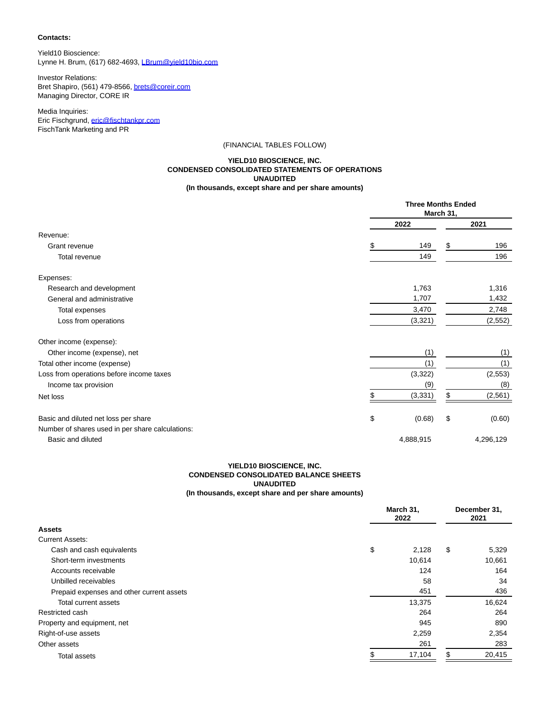## **Contacts:**

Yield10 Bioscience: Lynne H. Brum, (617) 682-4693, [LBrum@yield10bio.com](https://www.globenewswire.com/Tracker?data=7DrOBO2aAaG8QtboHYHIBNyhIKHiPv_Ovg_QMT60Mu3CluB9Xmtn_lj71liVRSP83TkwWAjj5mHQ0wYvTVuEbQIMZSKY1OZZF8kBVEMAU3o=)

Investor Relations: Bret Shapiro, (561) 479-8566[, brets@coreir.com](https://www.globenewswire.com/Tracker?data=TRTQpAy_upZzVSOa-0QnlVro2FwvDLZQe-L4wcEBMCjm20w2o9ROJyAliKzlF0uq5xm4Dj3spUIC1SamhgYn-Q==) Managing Director, CORE IR

Media Inquiries: Eric Fischgrund, [eric@fischtankpr.com](https://www.globenewswire.com/Tracker?data=4S1MSl6ZfeoF-uQJWfufm6Rq9iFbfpktEjhfL3dWpYu71wuBuFCOrYx3K5Du4id08M-sFKT3QwR6ZEG8O50TTV8wnoTkvvvkDd_UbmE2O2o=) FischTank Marketing and PR

## (FINANCIAL TABLES FOLLOW)

## **YIELD10 BIOSCIENCE, INC. CONDENSED CONSOLIDATED STATEMENTS OF OPERATIONS UNAUDITED (In thousands, except share and per share amounts)**

|                                                  |    | <b>Three Months Ended</b><br>March 31, |    |           |  |
|--------------------------------------------------|----|----------------------------------------|----|-----------|--|
|                                                  |    | 2022                                   |    | 2021      |  |
| Revenue:                                         |    |                                        |    |           |  |
| Grant revenue                                    | \$ | 149                                    | \$ | 196       |  |
| Total revenue                                    |    | 149                                    |    | 196       |  |
| Expenses:                                        |    |                                        |    |           |  |
| Research and development                         |    | 1,763                                  |    | 1,316     |  |
| General and administrative                       |    | 1,707                                  |    | 1,432     |  |
| Total expenses                                   |    | 3,470                                  |    | 2,748     |  |
| Loss from operations                             |    | (3,321)                                |    | (2, 552)  |  |
| Other income (expense):                          |    |                                        |    |           |  |
| Other income (expense), net                      |    | (1)                                    |    | (1)       |  |
| Total other income (expense)                     |    | (1)                                    |    |           |  |
| Loss from operations before income taxes         |    | (3, 322)                               |    |           |  |
| Income tax provision                             |    | (9)                                    |    | (8)       |  |
| Net loss                                         |    | (3, 331)                               |    | (2, 561)  |  |
| Basic and diluted net loss per share             | \$ | (0.68)                                 | \$ | (0.60)    |  |
| Number of shares used in per share calculations: |    |                                        |    |           |  |
| Basic and diluted                                |    | 4,888,915                              |    | 4,296,129 |  |

# **YIELD10 BIOSCIENCE, INC. CONDENSED CONSOLIDATED BALANCE SHEETS UNAUDITED (In thousands, except share and per share amounts)**

|                                           |    | March 31,<br>2022 |    | December 31,<br>2021 |  |
|-------------------------------------------|----|-------------------|----|----------------------|--|
| <b>Assets</b>                             |    |                   |    |                      |  |
| <b>Current Assets:</b>                    |    |                   |    |                      |  |
| Cash and cash equivalents                 | \$ | 2,128             | \$ | 5,329                |  |
| Short-term investments                    |    | 10,614            |    | 10,661               |  |
| Accounts receivable                       |    | 124               |    | 164                  |  |
| Unbilled receivables                      |    | 58                |    | 34                   |  |
| Prepaid expenses and other current assets |    | 451               |    | 436                  |  |
| Total current assets                      |    | 13,375            |    | 16,624               |  |
| Restricted cash                           |    | 264               |    | 264                  |  |
| Property and equipment, net               |    | 945               |    | 890                  |  |
| Right-of-use assets                       |    | 2,259             |    | 2,354                |  |
| Other assets                              |    | 261               |    | 283                  |  |
| Total assets                              |    | 17,104            | \$ | 20,415               |  |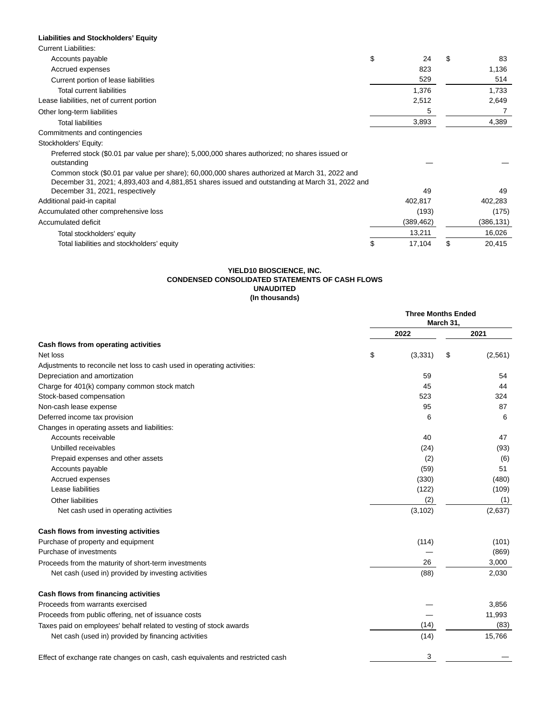# **Liabilities and Stockholders' Equity**

| <b>Current Liabilities:</b>                                                                    |            |     |           |
|------------------------------------------------------------------------------------------------|------------|-----|-----------|
| Accounts payable                                                                               | \$<br>24   | \$. | 83        |
| Accrued expenses                                                                               | 823        |     | 1,136     |
| Current portion of lease liabilities                                                           | 529        |     | 514       |
| <b>Total current liabilities</b>                                                               | 1,376      |     | 1,733     |
| Lease liabilities, net of current portion                                                      | 2,512      |     | 2,649     |
| Other long-term liabilities                                                                    | 5          |     |           |
| <b>Total liabilities</b>                                                                       | 3,893      |     | 4,389     |
| Commitments and contingencies                                                                  |            |     |           |
| Stockholders' Equity:                                                                          |            |     |           |
| Preferred stock (\$0.01 par value per share); 5,000,000 shares authorized; no shares issued or |            |     |           |
| outstanding                                                                                    |            |     |           |
| Common stock (\$0.01 par value per share); 60,000,000 shares authorized at March 31, 2022 and  |            |     |           |
| December 31, 2021; 4,893,403 and 4,881,851 shares issued and outstanding at March 31, 2022 and |            |     |           |
| December 31, 2021, respectively                                                                | 49         |     | 49        |
| Additional paid-in capital                                                                     | 402,817    |     | 402,283   |
| Accumulated other comprehensive loss                                                           | (193)      |     | (175)     |
| Accumulated deficit                                                                            | (389, 462) |     | (386,131) |
| Total stockholders' equity                                                                     | 13,211     |     | 16,026    |
| Total liabilities and stockholders' equity                                                     | 17,104     | S   | 20,415    |

## **YIELD10 BIOSCIENCE, INC. CONDENSED CONSOLIDATED STATEMENTS OF CASH FLOWS UNAUDITED (In thousands)**

|                                                                               | <b>Three Months Ended</b><br>March 31, |    |         |
|-------------------------------------------------------------------------------|----------------------------------------|----|---------|
|                                                                               | 2022                                   |    | 2021    |
| Cash flows from operating activities                                          |                                        |    |         |
| Net loss                                                                      | \$<br>(3, 331)                         | \$ | (2,561) |
| Adjustments to reconcile net loss to cash used in operating activities:       |                                        |    |         |
| Depreciation and amortization                                                 | 59                                     |    | 54      |
| Charge for 401(k) company common stock match                                  | 45                                     |    | 44      |
| Stock-based compensation                                                      | 523                                    |    | 324     |
| Non-cash lease expense                                                        | 95                                     |    | 87      |
| Deferred income tax provision                                                 | 6                                      |    | 6       |
| Changes in operating assets and liabilities:                                  |                                        |    |         |
| Accounts receivable                                                           | 40                                     |    | 47      |
| Unbilled receivables                                                          | (24)                                   |    | (93)    |
| Prepaid expenses and other assets                                             | (2)                                    |    | (6)     |
| Accounts payable                                                              | (59)                                   |    | 51      |
| Accrued expenses                                                              | (330)                                  |    | (480)   |
| Lease liabilities                                                             | (122)                                  |    | (109)   |
| Other liabilities                                                             | (2)                                    |    | (1)     |
| Net cash used in operating activities                                         | (3, 102)                               |    | (2,637) |
| Cash flows from investing activities                                          |                                        |    |         |
| Purchase of property and equipment                                            | (114)                                  |    | (101)   |
| Purchase of investments                                                       |                                        |    | (869)   |
| Proceeds from the maturity of short-term investments                          | 26                                     |    | 3,000   |
| Net cash (used in) provided by investing activities                           | (88)                                   |    | 2,030   |
| Cash flows from financing activities                                          |                                        |    |         |
| Proceeds from warrants exercised                                              |                                        |    | 3,856   |
| Proceeds from public offering, net of issuance costs                          |                                        |    | 11,993  |
| Taxes paid on employees' behalf related to vesting of stock awards            | (14)                                   |    | (83)    |
| Net cash (used in) provided by financing activities                           | (14)                                   |    | 15,766  |
| Effect of exchange rate changes on cash, cash equivalents and restricted cash | 3                                      |    |         |